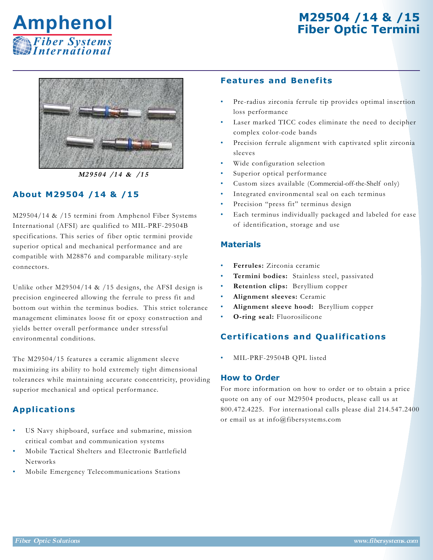# **M29504 /14 & /15 Fiber Optic Termini**





**M2 9 5 0 4 /1 4 & /1 5**

## **About M29504 /14 & /15**

M29504/14 & /15 termini from Amphenol Fiber Systems International (AFSI) are qualified to MIL-PRF-29504B specifications. This series of fiber optic termini provide superior optical and mechanical performance and are compatible with M28876 and comparable military-style connectors.

Unlike other M29504/14 & /15 designs, the AFSI design is precision engineered allowing the ferrule to press fit and bottom out within the terminus bodies. This strict tolerance management eliminates loose fit or epoxy construction and yields better overall performance under stressful environmental conditions.

The M29504/15 features a ceramic alignment sleeve maximizing its ability to hold extremely tight dimensional tolerances while maintaining accurate concentricity, providing superior mechanical and optical performance.

## **Applications**

- US Navy shipboard, surface and submarine, mission critical combat and communication systems
- Mobile Tactical Shelters and Electronic Battlefield Networks
- Mobile Emergency Telecommunications Stations

#### **Features and Benefits**

- Pre-radius zirconia ferrule tip provides optimal insertion loss performance
- Laser marked TICC codes eliminate the need to decipher complex color-code bands
- Precision ferrule alignment with captivated split zirconia sleeves
- Wide configuration selection
- Superior optical performance
- Custom sizes available (Commercial-off-the-Shelf only)
- Integrated environmental seal on each terminus
- Precision "press fit" terminus design
- Each terminus individually packaged and labeled for ease of identification, storage and use

#### **Materials**

- **Ferrules:** Zirconia ceramic
- **Termini bodies:** Stainless steel, passivated
- **Retention clips:** Beryllium copper
- **Alignment sleeves:** Ceramic
- **Alignment sleeve hood:** Beryllium copper
- **O-ring seal:** Fluorosilicone

## **Certifications and Qualifications**

• MIL-PRF-29504B QPL listed

#### **How to Order**

For more information on how to order or to obtain a price quote on any of our M29504 products, please call us at 800.472.4225. For international calls please dial 214.547.2400 or email us at info@fibersystems.com